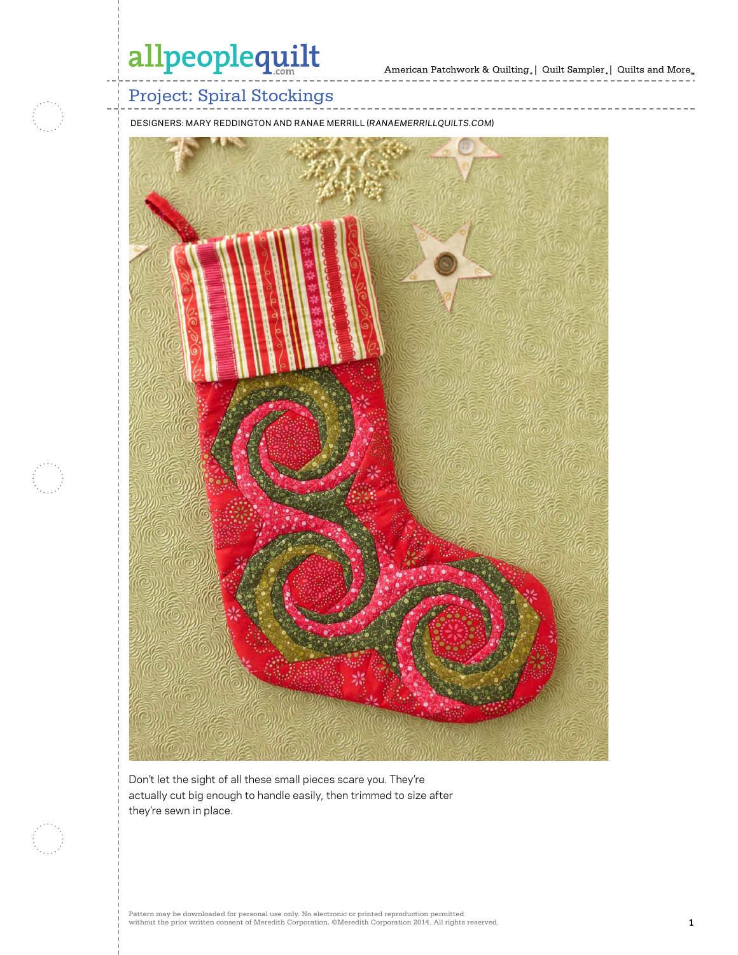

### Project: Spiral Stockings

DESIGNERS: MARY REDDINGTON AND RANAE MERRILL (*RANAEMERRILLQUILTS.COM*)



Don't let the sight of all these small pieces scare you. They're actually cut big enough to handle easily, then trimmed to size after they're sewn in place.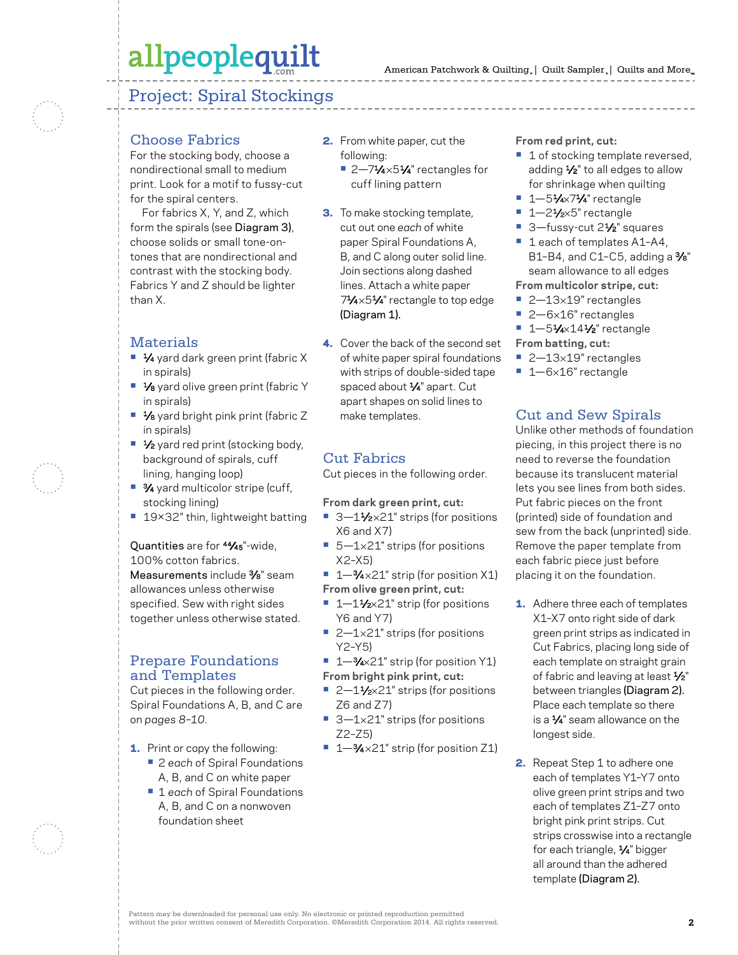### Project: Spiral Stockings

#### Choose Fabrics

For the stocking body, choose a nondirectional small to medium print. Look for a motif to fussy-cut for the spiral centers.

For fabrics X, Y, and Z, which form the spirals (see Diagram 3), choose solids or small tone-ontones that are nondirectional and contrast with the stocking body. Fabrics Y and Z should be lighter than X.

#### Materials

- **•** 1⁄4 yard dark green print (fabric X in spirals)
- **•** 1/8 yard olive green print (fabric Y in spirals)
- **•** 1⁄8 yard bright pink print (fabric Z in spirals)
- <sup>1</sup>⁄2 yard red print (stocking body, background of spirals, cuff lining, hanging loop)
- **•** 3⁄4 yard multicolor stripe (cuff, stocking lining)
- **•** 19×32" thin, lightweight batting

Quantities are for 44⁄45"-wide, 100% cotton fabrics. Measurements include <sup>3/8"</sup> seam allowances unless otherwise specified. Sew with right sides together unless otherwise stated.

#### Prepare Foundations and Templates

Cut pieces in the following order. Spiral Foundations A, B, and C are on *pages 8–10*.

- **1.** Print or copy the following:
	- **•** 2 *each* of Spiral Foundations A, B, and C on white paper
	- **•** 1 *each* of Spiral Foundations A, B, and C on a nonwoven foundation sheet
- 2. From white paper, cut the following:
	- 2-71⁄4×51⁄4" rectangles for cuff lining pattern
- **3.** To make stocking template, cut out one *each* of white paper Spiral Foundations A, B, and C along outer solid line. Join sections along dashed lines. Attach a white paper 71⁄4×51⁄4" rectangle to top edge (Diagram 1).
- 4. Cover the back of the second set of white paper spiral foundations with strips of double-sided tape spaced about 1/4" apart. Cut apart shapes on solid lines to make templates.

#### Cut Fabrics

Cut pieces in the following order.

**From dark green print, cut:**

- 3-11⁄2×21" strips (for positions X6 and X7)
- 5-1×21" strips (for positions X2–X5)
- **•** 1—3⁄4 ×21" strip (for position X1)
- **From olive green print, cut:**
- 1–1½×21" strip (for positions Y6 and Y7)
- 2–1×21" strips (for positions Y2–Y5)
- **•** 1—3⁄4×21" strip (for position Y1) **From bright pink print, cut:**
- 2-11⁄2×21" strips (for positions Z6 and Z7)
- 3-1×21" strips (for positions Z2–Z5)
- **•** 1—3⁄4 ×21" strip (for position Z1)

#### **From red print, cut:**

- 1 of stocking template reversed, adding 1/2" to all edges to allow for shrinkage when quilting
- **•** 1—51⁄4×71⁄4" rectangle
- 1-21⁄2×5" rectangle
- 3—fussy-cut 2<sup>1</sup>/<sub>2</sub>" squares
- 1 each of templates A1-A4, B1-B4, and C1-C5, adding a  $\frac{3}{8}$ " seam allowance to all edges **From multicolor stripe, cut:**
- **•** 2—13×19" rectangles
- **•** 2—6×16" rectangles
- **•** 1—51⁄4×141⁄2" rectangle
- **From batting, cut:**
- **•** 2—13×19" rectangles
- **•** 1—6×16" rectangle

#### Cut and Sew Spirals

Unlike other methods of foundation piecing, in this project there is no need to reverse the foundation because its translucent material lets you see lines from both sides. Put fabric pieces on the front (printed) side of foundation and sew from the back (unprinted) side. Remove the paper template from each fabric piece just before placing it on the foundation.

- **1.** Adhere three each of templates X1–X7 onto right side of dark green print strips as indicated in Cut Fabrics, placing long side of each template on straight grain of fabric and leaving at least  $\frac{1}{2}$ " between triangles (Diagram 2). Place each template so there is a  $1/4$ " seam allowance on the longest side.
- 2. Repeat Step 1 to adhere one each of templates Y1–Y7 onto olive green print strips and two each of templates Z1–Z7 onto bright pink print strips. Cut strips crosswise into a rectangle for each triangle, 1/4" bigger all around than the adhered template (Diagram 2).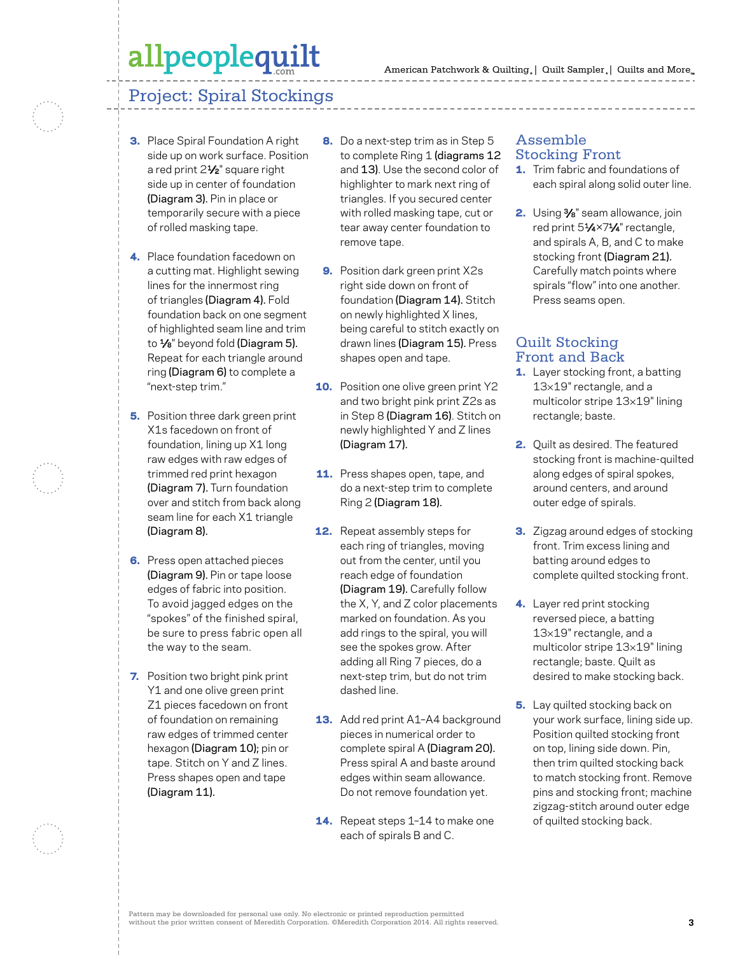### Project: Spiral Stockings

- **3.** Place Spiral Foundation A right side up on work surface. Position a red print 21⁄2" square right side up in center of foundation (Diagram 3). Pin in place or temporarily secure with a piece of rolled masking tape.
- 4. Place foundation facedown on a cutting mat. Highlight sewing lines for the innermost ring of triangles (Diagram 4). Fold foundation back on one segment of highlighted seam line and trim to  $\frac{1}{8}$ " beyond fold (Diagram 5). Repeat for each triangle around ring (Diagram 6) to complete a "next-step trim."
- **5.** Position three dark green print X1s facedown on front of foundation, lining up X1 long raw edges with raw edges of trimmed red print hexagon (Diagram 7). Turn foundation over and stitch from back along seam line for each X1 triangle (Diagram 8).
- **6.** Press open attached pieces (Diagram 9). Pin or tape loose edges of fabric into position. To avoid jagged edges on the "spokes" of the finished spiral, be sure to press fabric open all the way to the seam.
- **7.** Position two bright pink print Y1 and one olive green print Z1 pieces facedown on front of foundation on remaining raw edges of trimmed center hexagon (Diagram 10); pin or tape. Stitch on Y and Z lines. Press shapes open and tape (Diagram 11).
- 8. Do a next-step trim as in Step 5 to complete Ring 1 (diagrams 12 and 13). Use the second color of highlighter to mark next ring of triangles. If you secured center with rolled masking tape, cut or tear away center foundation to remove tape.
- 9. Position dark green print X2s right side down on front of foundation (Diagram 14). Stitch on newly highlighted X lines, being careful to stitch exactly on drawn lines (Diagram 15). Press shapes open and tape.
- **10.** Position one olive green print Y2 and two bright pink print Z2s as in Step 8 (Diagram 16). Stitch on newly highlighted Y and Z lines (Diagram 17).
- **11.** Press shapes open, tape, and do a next-step trim to complete Ring 2 (Diagram 18).
- **12.** Repeat assembly steps for each ring of triangles, moving out from the center, until you reach edge of foundation (Diagram 19). Carefully follow the X, Y, and Z color placements marked on foundation. As you add rings to the spiral, you will see the spokes grow. After adding all Ring 7 pieces, do a next-step trim, but do not trim dashed line.
- **13.** Add red print A1-A4 background pieces in numerical order to complete spiral A (Diagram 20). Press spiral A and baste around edges within seam allowance. Do not remove foundation yet.
- **14.** Repeat steps 1-14 to make one each of spirals B and C.

### Assemble Stocking Front

- **1.** Trim fabric and foundations of each spiral along solid outer line.
- 2. Using %" seam allowance, join red print 51⁄4×71⁄4" rectangle, and spirals A, B, and C to make stocking front (Diagram 21). Carefully match points where spirals "flow" into one another. Press seams open.

#### Quilt Stocking Front and Back

- **1.** Layer stocking front, a batting 13×19" rectangle, and a multicolor stripe 13×19" lining rectangle; baste.
- 2. Quilt as desired. The featured stocking front is machine-quilted along edges of spiral spokes, around centers, and around outer edge of spirals.
- **3.** Zigzag around edges of stocking front. Trim excess lining and batting around edges to complete quilted stocking front.
- 4. Layer red print stocking reversed piece, a batting 13×19" rectangle, and a multicolor stripe 13×19" lining rectangle; baste. Quilt as desired to make stocking back.
- **5.** Lay quilted stocking back on your work surface, lining side up. Position quilted stocking front on top, lining side down. Pin, then trim quilted stocking back to match stocking front. Remove pins and stocking front; machine zigzag-stitch around outer edge of quilted stocking back.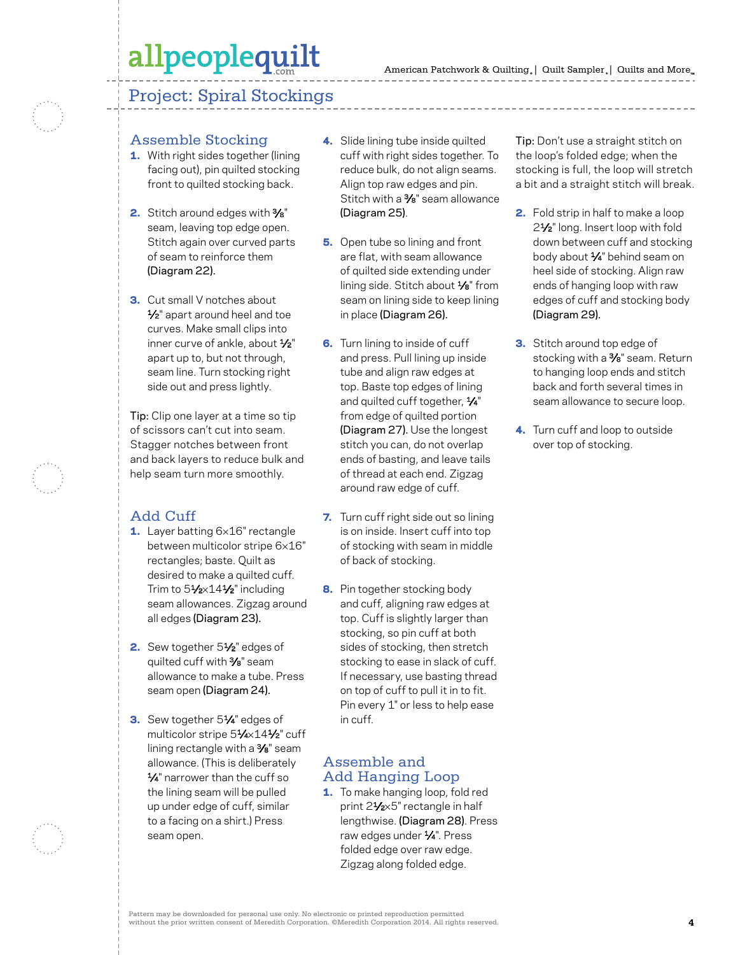### Project: Spiral Stockings

#### Assemble Stocking

- 1. With right sides together (lining facing out), pin quilted stocking front to quilted stocking back.
- 2. Stitch around edges with %" seam, leaving top edge open. Stitch again over curved parts of seam to reinforce them (Diagram 22).
- 3. Cut small V notches about 1/<sub>2</sub>" apart around heel and toe curves. Make small clips into inner curve of ankle, about 1/2" apart up to, but not through, seam line. Turn stocking right side out and press lightly.

Tip: Clip one layer at a time so tip of scissors can't cut into seam. Stagger notches between front and back layers to reduce bulk and help seam turn more smoothly.

### Add Cuff

- 1. Layer batting 6×16" rectangle between multicolor stripe 6×16" rectangles; baste. Quilt as desired to make a quilted cuff. Trim to 51/2×141/2" including seam allowances. Zigzag around all edges (Diagram 23).
- 2. Sew together 51/<sub>2</sub>" edges of quilted cuff with 3⁄8" seam allowance to make a tube. Press seam open (Diagram 24).
- 3. Sew together 51/4" edges of multicolor stripe 51⁄4×141⁄2" cuff lining rectangle with a 3%" seam allowance. (This is deliberately 1⁄4" narrower than the cuff so the lining seam will be pulled up under edge of cuff, similar to a facing on a shirt.) Press seam open.
- 4. Slide lining tube inside quilted cuff with right sides together. To reduce bulk, do not align seams. Align top raw edges and pin. Stitch with a  $\frac{3}{8}$ " seam allowance (Diagram 25).
- **5.** Open tube so lining and front are flat, with seam allowance of quilted side extending under lining side. Stitch about 1/8" from seam on lining side to keep lining in place (Diagram 26).
- **6.** Turn lining to inside of cuff and press. Pull lining up inside tube and align raw edges at top. Baste top edges of lining and quilted cuff together,  $\frac{1}{4}$ " from edge of quilted portion (Diagram 27). Use the longest stitch you can, do not overlap ends of basting, and leave tails of thread at each end. Zigzag around raw edge of cuff.
- 7. Turn cuff right side out so lining is on inside. Insert cuff into top of stocking with seam in middle of back of stocking.
- 8. Pin together stocking body and cuff, aligning raw edges at top. Cuff is slightly larger than stocking, so pin cuff at both sides of stocking, then stretch stocking to ease in slack of cuff. If necessary, use basting thread on top of cuff to pull it in to fit. Pin every 1" or less to help ease in cuff.

#### Assemble and Add Hanging Loop

1. To make hanging loop, fold red print 21⁄2×5" rectangle in half lengthwise. (Diagram 28). Press raw edges under 1⁄4". Press folded edge over raw edge. Zigzag along folded edge.

Tip: Don't use a straight stitch on the loop's folded edge; when the stocking is full, the loop will stretch a bit and a straight stitch will break.

- 2. Fold strip in half to make a loop 21⁄2" long. Insert loop with fold down between cuff and stocking body about 1⁄4" behind seam on heel side of stocking. Align raw ends of hanging loop with raw edges of cuff and stocking body (Diagram 29).
- **3.** Stitch around top edge of stocking with a %" seam. Return to hanging loop ends and stitch back and forth several times in seam allowance to secure loop.
- 4. Turn cuff and loop to outside over top of stocking.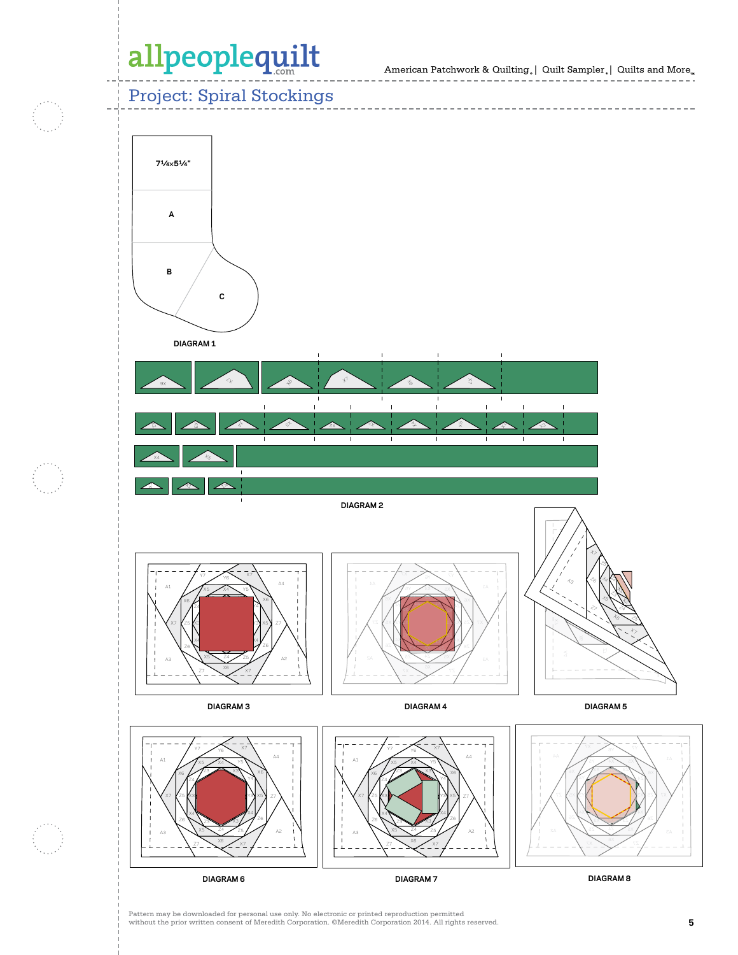American Patchwork & Quilting  $_{\circ} \vert \;$  Quilt Sampler  $_{\circ} \vert \;$  Quilts and More  $_{\circ} \;$ 

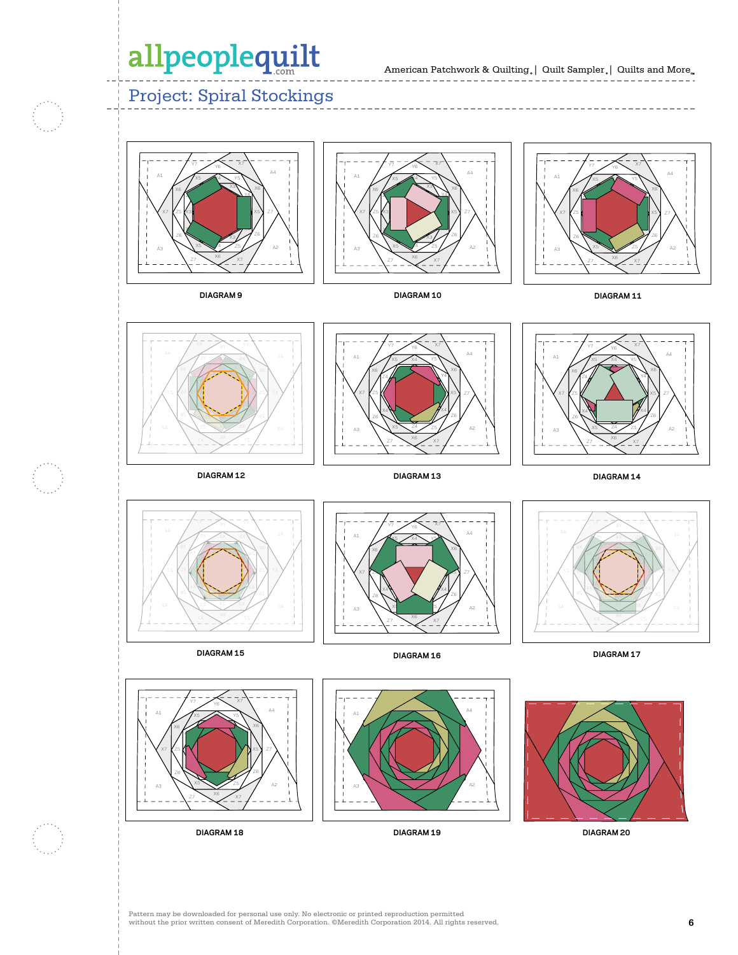### Project: Spiral Stockings









**DIAGRAM 11**



**DIAGRAM 12**



**DIAGRAM 13**



**DIAGRAM 14**



A1

A3

**DIAGRAM 15**

Z1 Y4 X6 A4

 $\overline{\phantom{a}}$ 

Y1 Z4 X6

 $\sim$ 

 $\overline{\phantom{a}}$ z X5

 $\tilde{\phantom{a}}$ Y6

Z7  $\sim$  X7 X5 Z3  $\mathcal{L}$ Z2 Z1 r -X6 A1

**DIAGRAM 18**

A3

X7 KZ5 K1 X4 Z6

 $\mathbf{I}$ Y2  $\mathbf{I}$ 

X7

 $Y$  X5  $Y$  Z7

A2



**DIAGRAM 16**



**DIAGRAM 17**



**DIAGRAM 20**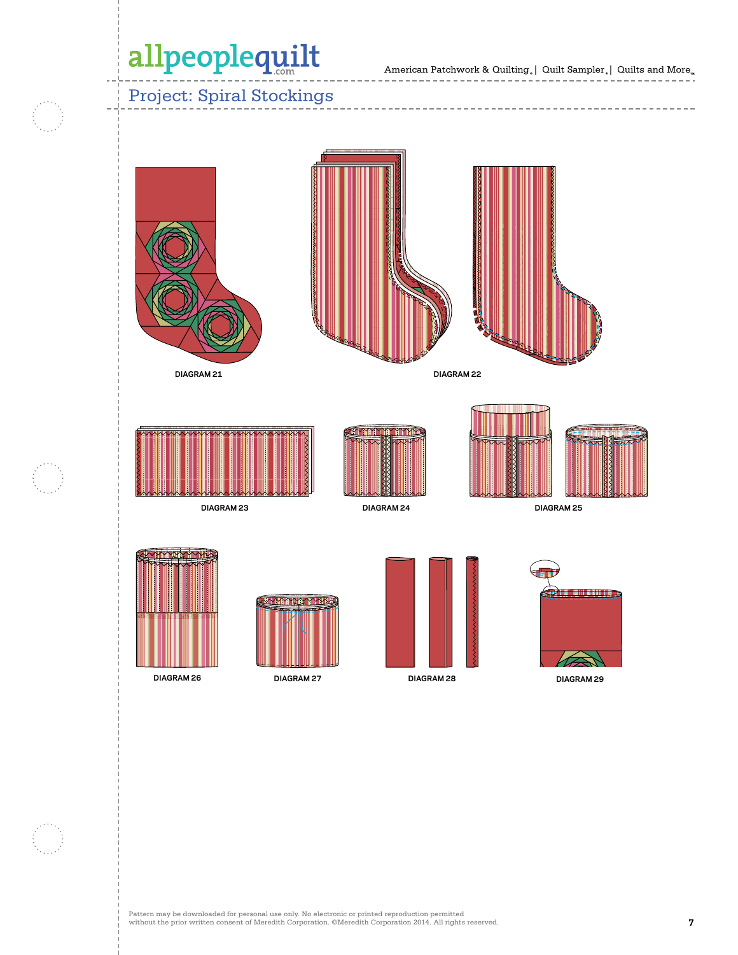American Patchwork & Quilting  $_{\circ} \vert \;$  Quilt Sampler  $_{\circ} \vert \;$  Quilts and More  $_{\circ} \;$ 

Project: Spiral Stockings



**DIAGRAM 26**



**DIAGRAM 27**



**DIAGRAM 29**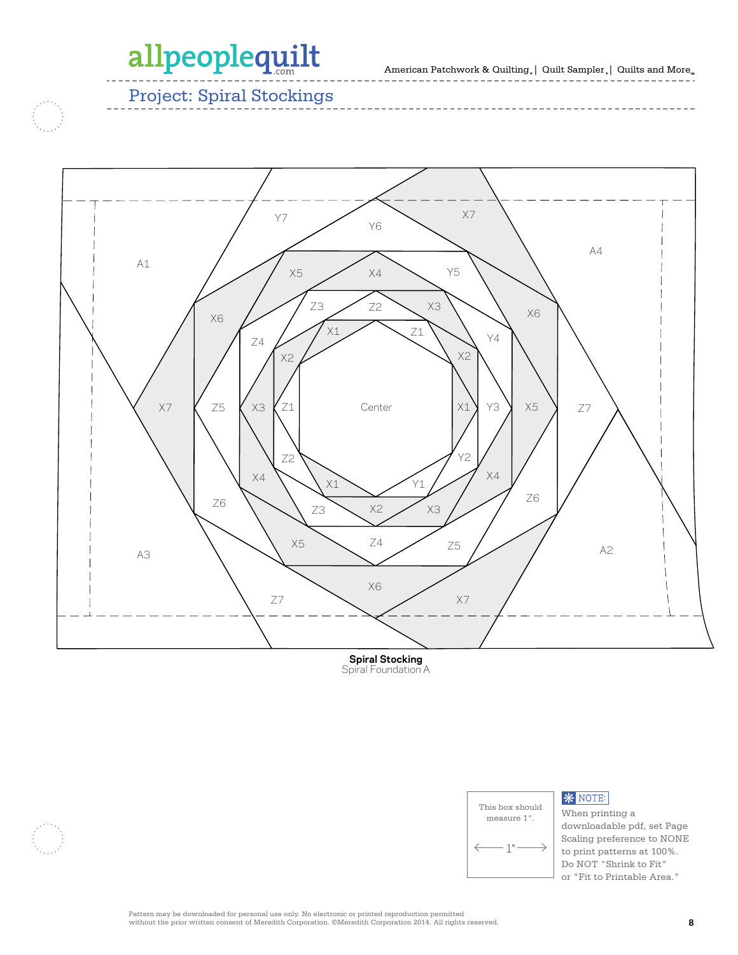American Patchwork & Quilting<sub>。</sub>| Quilt Sampler<sub>。</sub>| Quilts and More<sub>,,,</sub> **100573993**

Project: Spiral Stockings



**Spiral Stocking** Spiral Foundation A



#### **\*** NOTE:

When printing a downloadable pdf, set Page Scaling preference to NONE to print patterns at 100%. Do NOT "Shrink to Fit" or "Fit to Printable Area."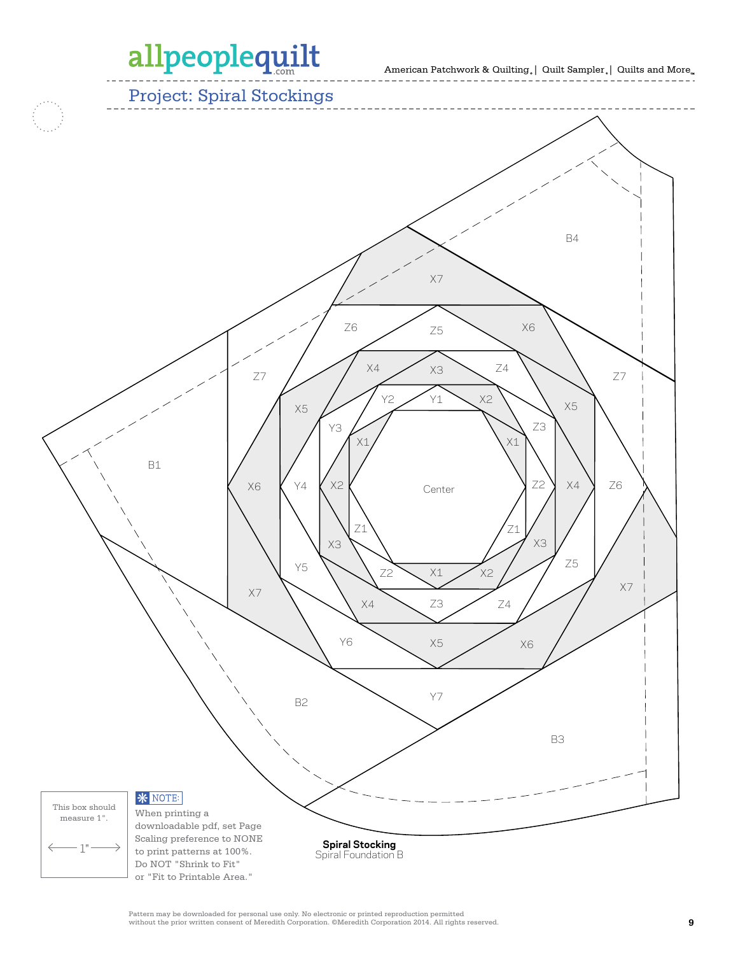American Patchwork & Quilting | Quilt Sampler | Quilts and More **100573994**

Project: Spiral Stockings B4 X7 Z6 75 X6 Z5  $x4 \times x3 \times 24$ X3 Z7 Z7  $YZ$   $Y1$   $X2$ X5 X5 Z3 Y3 X1 X1 B1 X6 Y4 X2 Z2 X4 Z6 Center Z1 Z1 X3 X3 Z5 Y5  $Z2 \times 1 \times 2$ X7 X7 Z3 X4 Z4 Y6 X5 X6 Y7 B2 B3 **\*** NOTE: This box should When printing a measure 1".downloadable pdf, set Page Scaling preference to NONE  $-1"$ **Spiral Stocking** to print patterns at 100%. Spiral Foundation B Do NOT "Shrink to Fit" or "Fit to Printable Area."